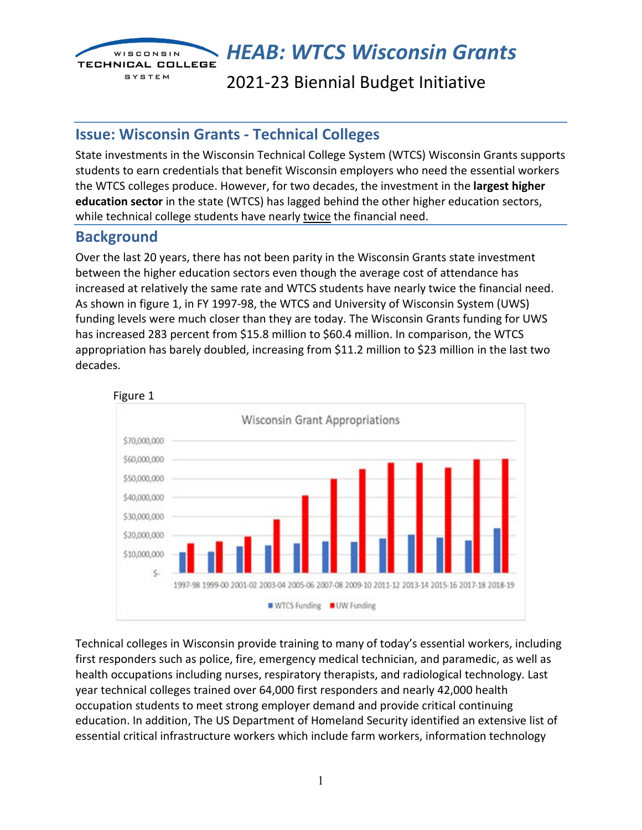

*HEAB: WTCS Wisconsin Grants* 

2021-23 Biennial Budget Initiative

## **Issue: Wisconsin Grants - Technical Colleges**

State investments in the Wisconsin Technical College System (WTCS) Wisconsin Grants supports students to earn credentials that benefit Wisconsin employers who need the essential workers the WTCS colleges produce. However, for two decades, the investment in the **largest higher education sector** in the state (WTCS) has lagged behind the other higher education sectors, while technical college students have nearly twice the financial need.

## **Background**

Over the last 20 years, there has not been parity in the Wisconsin Grants state investment between the higher education sectors even though the average cost of attendance has increased at relatively the same rate and WTCS students have nearly twice the financial need. As shown in figure 1, in FY 1997-98, the WTCS and University of Wisconsin System (UWS) funding levels were much closer than they are today. The Wisconsin Grants funding for UWS has increased 283 percent from \$15.8 million to \$60.4 million. In comparison, the WTCS appropriation has barely doubled, increasing from \$11.2 million to \$23 million in the last two decades.



Technical colleges in Wisconsin provide training to many of today's essential workers, including first responders such as police, fire, emergency medical technician, and paramedic, as well as health occupations including nurses, respiratory therapists, and radiological technology. Last year technical colleges trained over 64,000 first responders and nearly 42,000 health occupation students to meet strong employer demand and provide critical continuing education. In addition, The US Department of Homeland Security identified an extensive list of essential critical infrastructure workers which include farm workers, information technology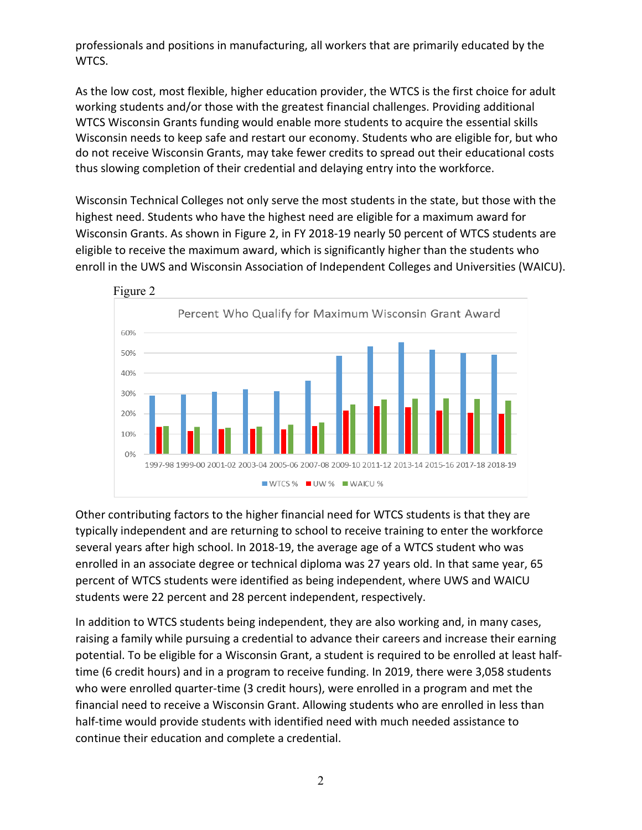professionals and positions in manufacturing, all workers that are primarily educated by the WTCS.

As the low cost, most flexible, higher education provider, the WTCS is the first choice for adult working students and/or those with the greatest financial challenges. Providing additional WTCS Wisconsin Grants funding would enable more students to acquire the essential skills Wisconsin needs to keep safe and restart our economy. Students who are eligible for, but who do not receive Wisconsin Grants, may take fewer credits to spread out their educational costs thus slowing completion of their credential and delaying entry into the workforce.

Wisconsin Technical Colleges not only serve the most students in the state, but those with the highest need. Students who have the highest need are eligible for a maximum award for Wisconsin Grants. As shown in Figure 2, in FY 2018-19 nearly 50 percent of WTCS students are eligible to receive the maximum award, which is significantly higher than the students who enroll in the UWS and Wisconsin Association of Independent Colleges and Universities (WAICU).



Other contributing factors to the higher financial need for WTCS students is that they are typically independent and are returning to school to receive training to enter the workforce several years after high school. In 2018-19, the average age of a WTCS student who was enrolled in an associate degree or technical diploma was 27 years old. In that same year, 65 percent of WTCS students were identified as being independent, where UWS and WAICU students were 22 percent and 28 percent independent, respectively.

In addition to WTCS students being independent, they are also working and, in many cases, raising a family while pursuing a credential to advance their careers and increase their earning potential. To be eligible for a Wisconsin Grant, a student is required to be enrolled at least halftime (6 credit hours) and in a program to receive funding. In 2019, there were 3,058 students who were enrolled quarter-time (3 credit hours), were enrolled in a program and met the financial need to receive a Wisconsin Grant. Allowing students who are enrolled in less than half-time would provide students with identified need with much needed assistance to continue their education and complete a credential.